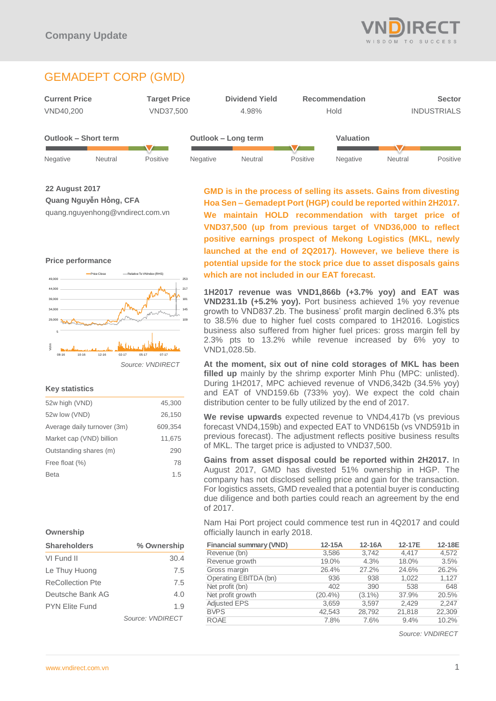

# GEMADEPT CORP (GMD)



**22 August 2017 Quang Nguyễn Hồng, CFA** quang.nguyenhong@vndirect.com.vn

### **Price performance**



### **Key statistics**

| 52w high (VND)              | 45,300  |
|-----------------------------|---------|
| 52w low (VND)               | 26,150  |
| Average daily turnover (3m) | 609.354 |
| Market cap (VND) billion    | 11,675  |
| Outstanding shares (m)      | 290     |
| Free float (%)              | 78      |
| Beta                        | 1.5     |
|                             |         |

### **Ownership**

| <b>Shareholders</b>   | % Ownership             |  |
|-----------------------|-------------------------|--|
| VI Fund II            | 30.4                    |  |
| Le Thuy Huong         | 7.5                     |  |
| ReCollection Pte      | 7.5                     |  |
| Deutsche Bank AG      | 4.0                     |  |
| <b>PYN Flite Fund</b> | 1.9                     |  |
|                       | Source: <i>VNDIRFCT</i> |  |

**GMD is in the process of selling its assets. Gains from divesting Hoa Sen – Gemadept Port (HGP) could be reported within 2H2017. We maintain HOLD recommendation with target price of VND37,500 (up from previous target of VND36,000 to reflect positive earnings prospect of Mekong Logistics (MKL, newly launched at the end of 2Q2017). However, we believe there is potential upside for the stock price due to asset disposals gains which are not included in our EAT forecast.**

**1H2017 revenue was VND1,866b (+3.7% yoy) and EAT was VND231.1b (+5.2% yoy).** Port business achieved 1% yoy revenue growth to VND837.2b. The business' profit margin declined 6.3% pts to 38.5% due to higher fuel costs compared to 1H2016. Logistics business also suffered from higher fuel prices: gross margin fell by 2.3% pts to 13.2% while revenue increased by 6% yoy to VND1,028.5b.

**At the moment, six out of nine cold storages of MKL has been filled up** mainly by the shrimp exporter Minh Phu (MPC: unlisted). During 1H2017, MPC achieved revenue of VND6,342b (34.5% yoy) and EAT of VND159.6b (733% yoy). We expect the cold chain distribution center to be fully utilized by the end of 2017.

**We revise upwards** expected revenue to VND4,417b (vs previous forecast VND4,159b) and expected EAT to VND615b (vs VND591b in previous forecast). The adjustment reflects positive business results of MKL. The target price is adjusted to VND37,500.

**Gains from asset disposal could be reported within 2H2017.** In August 2017, GMD has divested 51% ownership in HGP. The company has not disclosed selling price and gain for the transaction. For logistics assets, GMD revealed that a potential buyer is conducting due diligence and both parties could reach an agreement by the end of 2017.

Nam Hai Port project could commence test run in 4Q2017 and could officially launch in early 2018.

| <b>Financial summary (VND)</b> | $12-15A$   | 12-16A    | 12-17E | 12-18E |
|--------------------------------|------------|-----------|--------|--------|
| Revenue (bn)                   | 3,586      | 3,742     | 4.417  | 4,572  |
| Revenue growth                 | 19.0%      | 4.3%      | 18.0%  | 3.5%   |
| Gross margin                   | 26.4%      | 27.2%     | 24.6%  | 26.2%  |
| Operating EBITDA (bn)          | 936        | 938       | 1.022  | 1,127  |
| Net profit (bn)                | 402        | 390       | 538    | 648    |
| Net profit growth              | $(20.4\%)$ | $(3.1\%)$ | 37.9%  | 20.5%  |
| <b>Adjusted EPS</b>            | 3,659      | 3.597     | 2,429  | 2,247  |
| <b>BVPS</b>                    | 42,543     | 28,792    | 21,818 | 22,309 |
| <b>ROAE</b>                    | 7.8%       | 7.6%      | 9.4%   | 10.2%  |

*Source: VNDIRECT*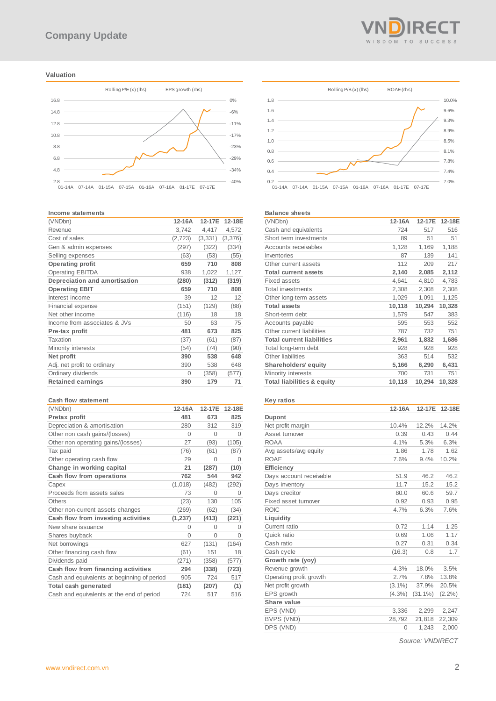### **Valuation**



#### **Income statements**

| (VNDbn)                       | 12-16A   | 12-17E   | 12-18E  |
|-------------------------------|----------|----------|---------|
| Revenue                       | 3.742    | 4,417    | 4,572   |
| Cost of sales                 | (2, 723) | (3, 331) | (3,376) |
| Gen & admin expenses          | (297)    | (322)    | (334)   |
| Selling expenses              | (63)     | (53)     | (55)    |
| <b>Operating profit</b>       | 659      | 710      | 808     |
| <b>Operating EBITDA</b>       | 938      | 1,022    | 1,127   |
| Depreciation and amortisation | (280)    | (312)    | (319)   |
| <b>Operating EBIT</b>         | 659      | 710      | 808     |
| Interest income               | 39       | 12       | 12      |
| <b>Financial expense</b>      | (151)    | (129)    | (88)    |
| Net other income              | (116)    | 18       | 18      |
| Income from associates & JVs  | 50       | 63       | 75      |
| Pre-tax profit                | 481      | 673      | 825     |
| Taxation                      | (37)     | (61)     | (87)    |
| Minority interests            | (54)     | (74)     | (90)    |
| Net profit                    | 390      | 538      | 648     |
| Adj. net profit to ordinary   | 390      | 538      | 648     |
| Ordinary dividends            | $\Omega$ | (358)    | (577)   |
| <b>Retained earnings</b>      | 390      | 179      | 71      |

#### **Cash flow statement**

| (VNDbn)                                     | 12-16A   | 12-17E   | 12-18E   |
|---------------------------------------------|----------|----------|----------|
| Pretax profit                               | 481      | 673      | 825      |
| Depreciation & amortisation                 | 280      | 312      | 319      |
| Other non cash gains/(losses)               | $\Omega$ | $\Omega$ | $\Omega$ |
| Other non operating gains/(losses)          | 27       | (93)     | (105)    |
| Tax paid                                    | (76)     | (61)     | (87)     |
| Other operating cash flow                   | 29       | 0        | $\Omega$ |
| Change in working capital                   | 21       | (287)    | (10)     |
| Cash flow from operations                   | 762      | 544      | 942      |
| Capex                                       | (1,018)  | (482)    | (292)    |
| Proceeds from assets sales                  | 73       | $\Omega$ | O        |
| Others                                      | (23)     | 130      | 105      |
| Other non-current assets changes            | (269)    | (62)     | (34)     |
| Cash flow from investing activities         | (1, 237) | (413)    | (221)    |
| New share issuance                          | 0        | $\Omega$ | O        |
| Shares buyback                              | $\Omega$ | $\Omega$ | $\Omega$ |
| Net borrowings                              | 627      | (131)    | (164)    |
| Other financing cash flow                   | (61)     | 151      | 18       |
| Dividends paid                              | (271)    | (358)    | (577)    |
| Cash flow from financing activities         | 294      | (338)    | (723)    |
| Cash and equivalents at beginning of period | 905      | 724      | 517      |
| Total cash generated                        | (181)    | (207)    | (1)      |
| Cash and equivalents at the end of period   | 724      | 517      | 516      |





#### **Balance sheets**

| (VNDbn)                               | 12-16A | 12-17E | 12-18E |
|---------------------------------------|--------|--------|--------|
| Cash and equivalents                  | 724    | 517    | 516    |
| Short term investments                | 89     | 51     | 51     |
| Accounts receivables                  | 1,128  | 1,169  | 1,188  |
| Inventories                           | 87     | 139    | 141    |
| Other current assets                  | 112    | 209    | 217    |
| <b>Total current assets</b>           | 2,140  | 2,085  | 2,112  |
| <b>Fixed assets</b>                   | 4,641  | 4,810  | 4,783  |
| <b>Total investments</b>              | 2,308  | 2,308  | 2,308  |
| Other long-term assets                | 1,029  | 1,091  | 1,125  |
| <b>Total assets</b>                   | 10,118 | 10,294 | 10,328 |
| Short-term debt                       | 1,579  | 547    | 383    |
| Accounts payable                      | 595    | 553    | 552    |
| Other current liabilities             | 787    | 732    | 751    |
| <b>Total current liabilities</b>      | 2,961  | 1,832  | 1,686  |
| Total long-term debt                  | 928    | 928    | 928    |
| Other liabilities                     | 363    | 514    | 532    |
| <b>Shareholders' equity</b>           | 5,166  | 6,290  | 6,431  |
| Minority interests                    | 700    | 731    | 751    |
| <b>Total liabilities &amp; equity</b> | 10,118 | 10,294 | 10,328 |
|                                       |        |        |        |

### **Key ratios**

|                         | 12-16A    | 12-17E     | 12-18E    |
|-------------------------|-----------|------------|-----------|
| Dupont                  |           |            |           |
| Net profit margin       | 10.4%     | 12.2%      | 14.2%     |
| Asset turnover          | 0.39      | 0.43       | 0.44      |
| <b>ROAA</b>             | 4.1%      | 5.3%       | 6.3%      |
| Avg assets/avg equity   | 1.86      | 1.78       | 1.62      |
| <b>ROAE</b>             | 7.6%      | 9.4%       | 10.2%     |
| Efficiency              |           |            |           |
| Davs account receivable | 51.9      | 46.2       | 46.2      |
| Days inventory          | 11.7      | 15.2       | 15.2      |
| Days creditor           | 80.0      | 60.6       | 59.7      |
| Fixed asset turnover    | 0.92      | 0.93       | 0.95      |
| <b>ROIC</b>             | 4.7%      | 6.3%       | 7.6%      |
| Liquidity               |           |            |           |
| Current ratio           | 0.72      | 1.14       | 1.25      |
| Quick ratio             | 0.69      | 1.06       | 1.17      |
| Cash ratio              | 0.27      | 0.31       | 0.34      |
| Cash cycle              | (16.3)    | 0.8        | 1.7       |
| Growth rate (yoy)       |           |            |           |
| Revenue growth          | 4.3%      | 18.0%      | 3.5%      |
| Operating profit growth | 2.7%      | 7.8%       | 13.8%     |
| Net profit growth       | $(3.1\%)$ | 37.9%      | 20.5%     |
| EPS growth              | $(4.3\%)$ | $(31.1\%)$ | $(2.2\%)$ |
| Share value             |           |            |           |
| EPS (VND)               | 3,336     | 2,299      | 2,247     |
| BVPS (VND)              | 28,792    | 21,818     | 22,309    |
| DPS (VND)               | 0         | 1,243      | 2,000     |

*Source: VNDIRECT*